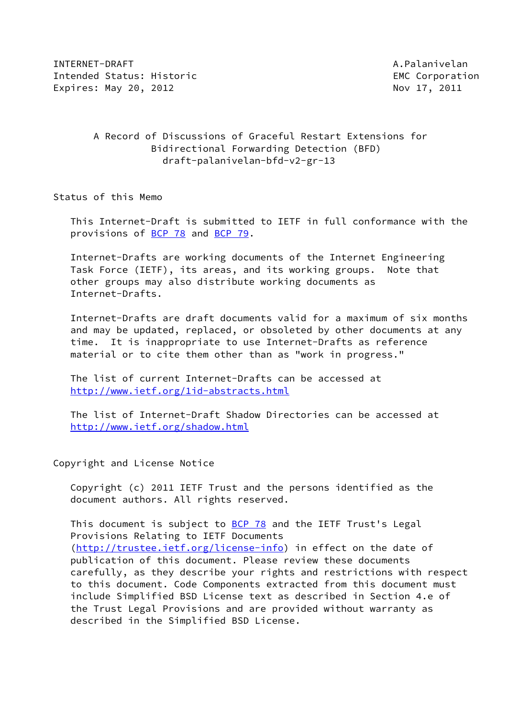INTERNET-DRAFT A.Palanivelan Intended Status: Historic **EMC** Corporation Expires: May 20, 2012 Mov 17, 2011

# A Record of Discussions of Graceful Restart Extensions for Bidirectional Forwarding Detection (BFD) draft-palanivelan-bfd-v2-gr-13

Status of this Memo

 This Internet-Draft is submitted to IETF in full conformance with the provisions of [BCP 78](https://datatracker.ietf.org/doc/pdf/bcp78) and [BCP 79](https://datatracker.ietf.org/doc/pdf/bcp79).

 Internet-Drafts are working documents of the Internet Engineering Task Force (IETF), its areas, and its working groups. Note that other groups may also distribute working documents as Internet-Drafts.

 Internet-Drafts are draft documents valid for a maximum of six months and may be updated, replaced, or obsoleted by other documents at any time. It is inappropriate to use Internet-Drafts as reference material or to cite them other than as "work in progress."

 The list of current Internet-Drafts can be accessed at <http://www.ietf.org/1id-abstracts.html>

 The list of Internet-Draft Shadow Directories can be accessed at <http://www.ietf.org/shadow.html>

Copyright and License Notice

 Copyright (c) 2011 IETF Trust and the persons identified as the document authors. All rights reserved.

This document is subject to [BCP 78](https://datatracker.ietf.org/doc/pdf/bcp78) and the IETF Trust's Legal Provisions Relating to IETF Documents [\(http://trustee.ietf.org/license-info](http://trustee.ietf.org/license-info)) in effect on the date of publication of this document. Please review these documents carefully, as they describe your rights and restrictions with respect to this document. Code Components extracted from this document must include Simplified BSD License text as described in Section 4.e of the Trust Legal Provisions and are provided without warranty as described in the Simplified BSD License.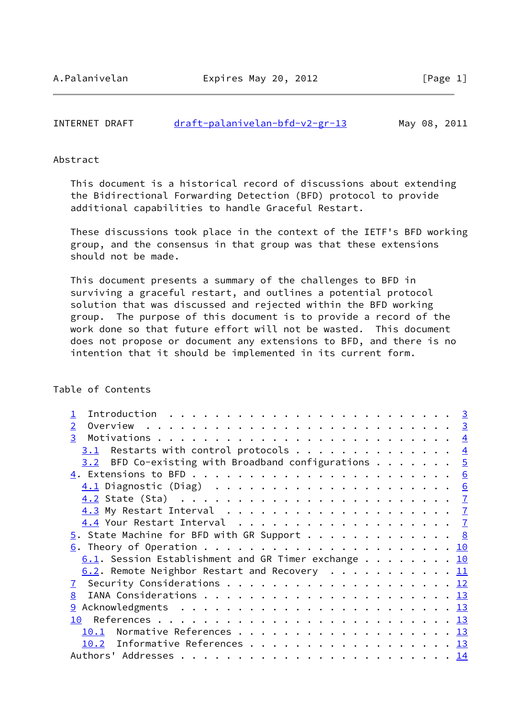| INTERNET DRAFT | draft-palanivelan-bfd-v2-gr-13 |  | May 08, 2011 |
|----------------|--------------------------------|--|--------------|
|                |                                |  |              |

## Abstract

 This document is a historical record of discussions about extending the Bidirectional Forwarding Detection (BFD) protocol to provide additional capabilities to handle Graceful Restart.

 These discussions took place in the context of the IETF's BFD working group, and the consensus in that group was that these extensions should not be made.

 This document presents a summary of the challenges to BFD in surviving a graceful restart, and outlines a potential protocol solution that was discussed and rejected within the BFD working group. The purpose of this document is to provide a record of the work done so that future effort will not be wasted. This document does not propose or document any extensions to BFD, and there is no intention that it should be implemented in its current form.

# Table of Contents

| $\overline{2}$                                                  |  |  |  |  |
|-----------------------------------------------------------------|--|--|--|--|
| 3 <sup>1</sup>                                                  |  |  |  |  |
| $3.1$ Restarts with control protocols 4                         |  |  |  |  |
| 3.2 BFD Co-existing with Broadband configurations $\frac{5}{2}$ |  |  |  |  |
|                                                                 |  |  |  |  |
|                                                                 |  |  |  |  |
|                                                                 |  |  |  |  |
|                                                                 |  |  |  |  |
|                                                                 |  |  |  |  |
| $\underline{5}$ . State Machine for BFD with GR Support 8       |  |  |  |  |
|                                                                 |  |  |  |  |
| $6.1$ . Session Establishment and GR Timer exchange 10          |  |  |  |  |
| 6.2. Remote Neighbor Restart and Recovery 11                    |  |  |  |  |
|                                                                 |  |  |  |  |
| 8                                                               |  |  |  |  |
| 9                                                               |  |  |  |  |
| 10                                                              |  |  |  |  |
| 10.1                                                            |  |  |  |  |
| 10.2 Informative References 13                                  |  |  |  |  |
|                                                                 |  |  |  |  |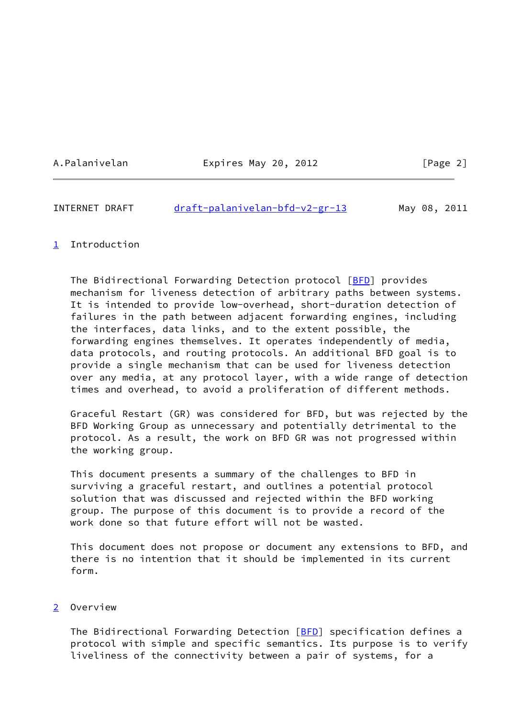A.Palanivelan Expires May 20, 2012 [Page 2]

# <span id="page-2-1"></span>INTERNET DRAFT [draft-palanivelan-bfd-v2-gr-13](https://datatracker.ietf.org/doc/pdf/draft-palanivelan-bfd-v2-gr-13) May 08, 2011

# <span id="page-2-0"></span>[1](#page-2-0) Introduction

 The Bidirectional Forwarding Detection protocol [\[BFD](#page-13-6)] provides mechanism for liveness detection of arbitrary paths between systems. It is intended to provide low-overhead, short-duration detection of failures in the path between adjacent forwarding engines, including the interfaces, data links, and to the extent possible, the forwarding engines themselves. It operates independently of media, data protocols, and routing protocols. An additional BFD goal is to provide a single mechanism that can be used for liveness detection over any media, at any protocol layer, with a wide range of detection times and overhead, to avoid a proliferation of different methods.

 Graceful Restart (GR) was considered for BFD, but was rejected by the BFD Working Group as unnecessary and potentially detrimental to the protocol. As a result, the work on BFD GR was not progressed within the working group.

 This document presents a summary of the challenges to BFD in surviving a graceful restart, and outlines a potential protocol solution that was discussed and rejected within the BFD working group. The purpose of this document is to provide a record of the work done so that future effort will not be wasted.

 This document does not propose or document any extensions to BFD, and there is no intention that it should be implemented in its current form.

# <span id="page-2-2"></span>[2](#page-2-2) Overview

The Bidirectional Forwarding Detection [\[BFD](#page-13-6)] specification defines a protocol with simple and specific semantics. Its purpose is to verify liveliness of the connectivity between a pair of systems, for a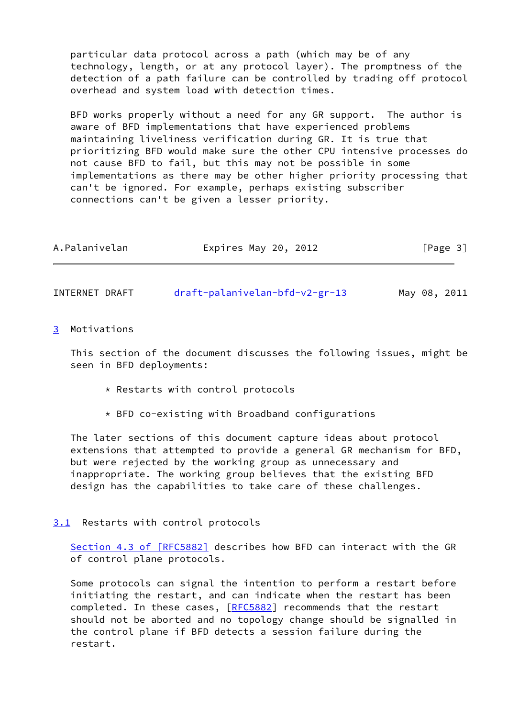particular data protocol across a path (which may be of any technology, length, or at any protocol layer). The promptness of the detection of a path failure can be controlled by trading off protocol overhead and system load with detection times.

 BFD works properly without a need for any GR support. The author is aware of BFD implementations that have experienced problems maintaining liveliness verification during GR. It is true that prioritizing BFD would make sure the other CPU intensive processes do not cause BFD to fail, but this may not be possible in some implementations as there may be other higher priority processing that can't be ignored. For example, perhaps existing subscriber connections can't be given a lesser priority.

| A.Palanivelan | Expires May 20, 2012 | [Page 3] |
|---------------|----------------------|----------|
|               |                      |          |

<span id="page-3-1"></span>INTERNET DRAFT [draft-palanivelan-bfd-v2-gr-13](https://datatracker.ietf.org/doc/pdf/draft-palanivelan-bfd-v2-gr-13) May 08, 2011

<span id="page-3-0"></span>[3](#page-3-0) Motivations

 This section of the document discusses the following issues, might be seen in BFD deployments:

- \* Restarts with control protocols
- \* BFD co-existing with Broadband configurations

 The later sections of this document capture ideas about protocol extensions that attempted to provide a general GR mechanism for BFD, but were rejected by the working group as unnecessary and inappropriate. The working group believes that the existing BFD design has the capabilities to take care of these challenges.

<span id="page-3-2"></span>[3.1](#page-3-2) Restarts with control protocols

Section [4.3 of \[RFC5882\]](https://datatracker.ietf.org/doc/pdf/rfc5882#section-4.3) describes how BFD can interact with the GR of control plane protocols.

 Some protocols can signal the intention to perform a restart before initiating the restart, and can indicate when the restart has been completed. In these cases, [[RFC5882\]](https://datatracker.ietf.org/doc/pdf/rfc5882) recommends that the restart should not be aborted and no topology change should be signalled in the control plane if BFD detects a session failure during the restart.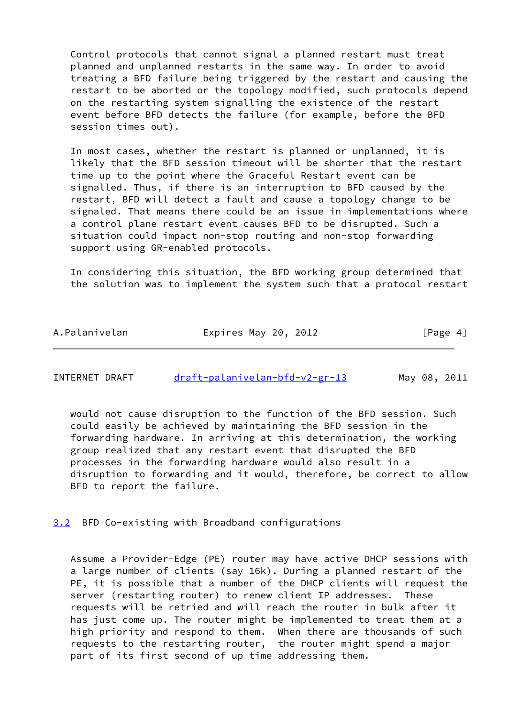Control protocols that cannot signal a planned restart must treat planned and unplanned restarts in the same way. In order to avoid treating a BFD failure being triggered by the restart and causing the restart to be aborted or the topology modified, such protocols depend on the restarting system signalling the existence of the restart event before BFD detects the failure (for example, before the BFD session times out).

 In most cases, whether the restart is planned or unplanned, it is likely that the BFD session timeout will be shorter that the restart time up to the point where the Graceful Restart event can be signalled. Thus, if there is an interruption to BFD caused by the restart, BFD will detect a fault and cause a topology change to be signaled. That means there could be an issue in implementations where a control plane restart event causes BFD to be disrupted. Such a situation could impact non-stop routing and non-stop forwarding support using GR-enabled protocols.

 In considering this situation, the BFD working group determined that the solution was to implement the system such that a protocol restart

| A.Palanivelan<br>Expires May 20, 2012 | [Page 4] |
|---------------------------------------|----------|
|---------------------------------------|----------|

<span id="page-4-1"></span>

| INTERNET DRAFT | draft-palanivelan-bfd-v2-gr-13 |  | May 08, 2011 |
|----------------|--------------------------------|--|--------------|
|                |                                |  |              |

 would not cause disruption to the function of the BFD session. Such could easily be achieved by maintaining the BFD session in the forwarding hardware. In arriving at this determination, the working group realized that any restart event that disrupted the BFD processes in the forwarding hardware would also result in a disruption to forwarding and it would, therefore, be correct to allow BFD to report the failure.

<span id="page-4-0"></span>[3.2](#page-4-0) BFD Co-existing with Broadband configurations

 Assume a Provider-Edge (PE) router may have active DHCP sessions with a large number of clients (say 16k). During a planned restart of the PE, it is possible that a number of the DHCP clients will request the server (restarting router) to renew client IP addresses. These requests will be retried and will reach the router in bulk after it has just come up. The router might be implemented to treat them at a high priority and respond to them. When there are thousands of such requests to the restarting router, the router might spend a major part of its first second of up time addressing them.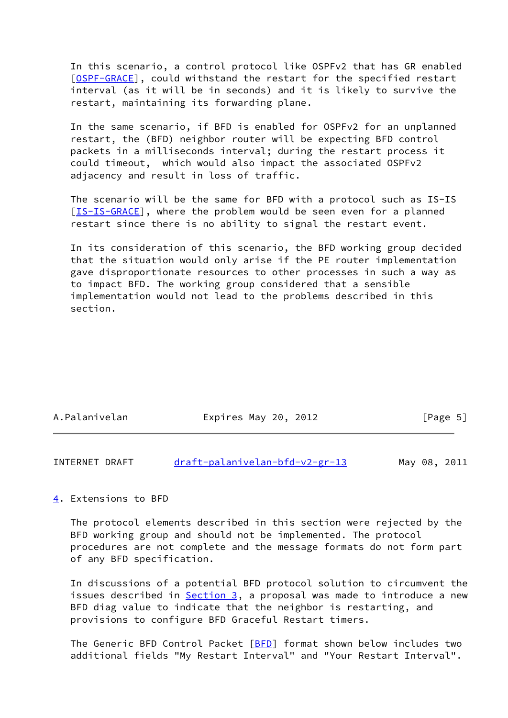In this scenario, a control protocol like OSPFv2 that has GR enabled [\[OSPF-GRACE\]](#page-14-2), could withstand the restart for the specified restart interval (as it will be in seconds) and it is likely to survive the restart, maintaining its forwarding plane.

 In the same scenario, if BFD is enabled for OSPFv2 for an unplanned restart, the (BFD) neighbor router will be expecting BFD control packets in a milliseconds interval; during the restart process it could timeout, which would also impact the associated OSPFv2 adjacency and result in loss of traffic.

 The scenario will be the same for BFD with a protocol such as IS-IS [\[IS-IS-GRACE](#page-14-3)], where the problem would be seen even for a planned restart since there is no ability to signal the restart event.

 In its consideration of this scenario, the BFD working group decided that the situation would only arise if the PE router implementation gave disproportionate resources to other processes in such a way as to impact BFD. The working group considered that a sensible implementation would not lead to the problems described in this section.

| A.Palanivelan | Expires May 20, 2012 | [Page 5] |
|---------------|----------------------|----------|
|               |                      |          |

<span id="page-5-1"></span>

| INTERNET DRAFT | draft-palanivelan-bfd-v2-gr-13 |  | May 08, 2011 |
|----------------|--------------------------------|--|--------------|
|                |                                |  |              |

### <span id="page-5-0"></span>[4](#page-5-0). Extensions to BFD

 The protocol elements described in this section were rejected by the BFD working group and should not be implemented. The protocol procedures are not complete and the message formats do not form part of any BFD specification.

 In discussions of a potential BFD protocol solution to circumvent the issues described in [Section 3,](#page-3-0) a proposal was made to introduce a new BFD diag value to indicate that the neighbor is restarting, and provisions to configure BFD Graceful Restart timers.

 The Generic BFD Control Packet [\[BFD](#page-13-6)] format shown below includes two additional fields "My Restart Interval" and "Your Restart Interval".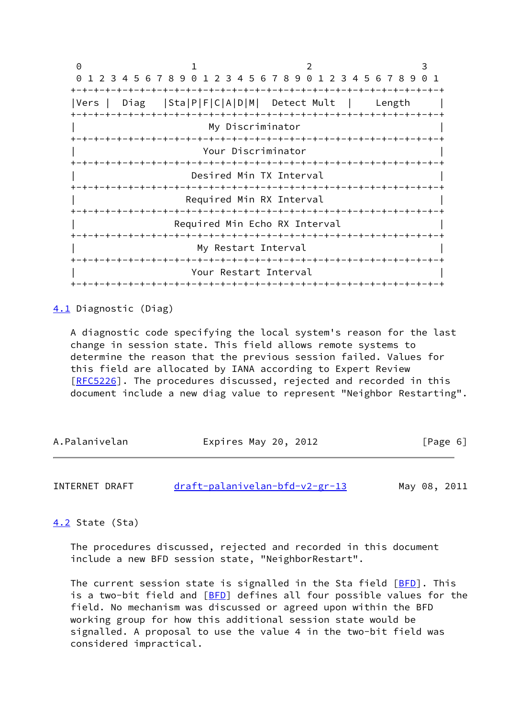0 1 2 3 0 1 2 3 4 5 6 7 8 9 0 1 2 3 4 5 6 7 8 9 0 1 2 3 4 5 6 7 8 9 0 1 +-+-+-+-+-+-+-+-+-+-+-+-+-+-+-+-+-+-+-+-+-+-+-+-+-+-+-+-+-+-+-+-+ |Vers | Diag |Sta|P|F|C|A|D|M| Detect Mult | Length | +-+-+-+-+-+-+-+-+-+-+-+-+-+-+-+-+-+-+-+-+-+-+-+-+-+-+-+-+-+-+-+-+ | My Discriminator | +-+-+-+-+-+-+-+-+-+-+-+-+-+-+-+-+-+-+-+-+-+-+-+-+-+-+-+-+-+-+-+-+ | Your Discriminator | +-+-+-+-+-+-+-+-+-+-+-+-+-+-+-+-+-+-+-+-+-+-+-+-+-+-+-+-+-+-+-+-+ Desired Min TX Interval +-+-+-+-+-+-+-+-+-+-+-+-+-+-+-+-+-+-+-+-+-+-+-+-+-+-+-+-+-+-+-+-+ Required Min RX Interval +-+-+-+-+-+-+-+-+-+-+-+-+-+-+-+-+-+-+-+-+-+-+-+-+-+-+-+-+-+-+-+-+ Required Min Echo RX Interval +-+-+-+-+-+-+-+-+-+-+-+-+-+-+-+-+-+-+-+-+-+-+-+-+-+-+-+-+-+-+-+-+ | My Restart Interval | +-+-+-+-+-+-+-+-+-+-+-+-+-+-+-+-+-+-+-+-+-+-+-+-+-+-+-+-+-+-+-+-+ Your Restart Interval +-+-+-+-+-+-+-+-+-+-+-+-+-+-+-+-+-+-+-+-+-+-+-+-+-+-+-+-+-+-+-+-+

<span id="page-6-0"></span>[4.1](#page-6-0) Diagnostic (Diag)

 A diagnostic code specifying the local system's reason for the last change in session state. This field allows remote systems to determine the reason that the previous session failed. Values for this field are allocated by IANA according to Expert Review [\[RFC5226](https://datatracker.ietf.org/doc/pdf/rfc5226)]. The procedures discussed, rejected and recorded in this document include a new diag value to represent "Neighbor Restarting".

| A.Palanivelan | Expires May 20, 2012 | [Page 6] |
|---------------|----------------------|----------|
|---------------|----------------------|----------|

<span id="page-6-2"></span>INTERNET DRAFT [draft-palanivelan-bfd-v2-gr-13](https://datatracker.ietf.org/doc/pdf/draft-palanivelan-bfd-v2-gr-13) May 08, 2011

<span id="page-6-1"></span>[4.2](#page-6-1) State (Sta)

 The procedures discussed, rejected and recorded in this document include a new BFD session state, "NeighborRestart".

The current session state is signalled in the Sta field [\[BFD](#page-13-6)]. This is a two-bit field and [\[BFD](#page-13-6)] defines all four possible values for the field. No mechanism was discussed or agreed upon within the BFD working group for how this additional session state would be signalled. A proposal to use the value 4 in the two-bit field was considered impractical.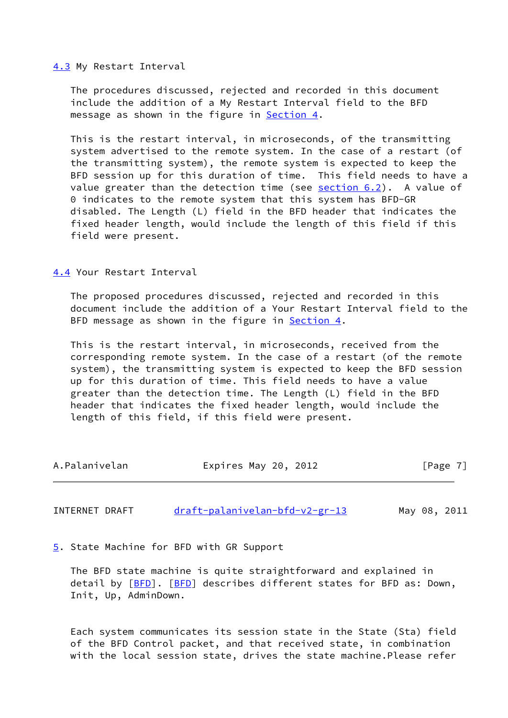### <span id="page-7-0"></span>[4.3](#page-7-0) My Restart Interval

 The procedures discussed, rejected and recorded in this document include the addition of a My Restart Interval field to the BFD message as shown in the figure in **Section 4.** 

 This is the restart interval, in microseconds, of the transmitting system advertised to the remote system. In the case of a restart (of the transmitting system), the remote system is expected to keep the BFD session up for this duration of time. This field needs to have a value greater than the detection time (see  $section 6.2$ ). A value of 0 indicates to the remote system that this system has BFD-GR disabled. The Length (L) field in the BFD header that indicates the fixed header length, would include the length of this field if this field were present.

<span id="page-7-1"></span>[4.4](#page-7-1) Your Restart Interval

 The proposed procedures discussed, rejected and recorded in this document include the addition of a Your Restart Interval field to the BFD message as shown in the figure in **Section 4.** 

 This is the restart interval, in microseconds, received from the corresponding remote system. In the case of a restart (of the remote system), the transmitting system is expected to keep the BFD session up for this duration of time. This field needs to have a value greater than the detection time. The Length (L) field in the BFD header that indicates the fixed header length, would include the length of this field, if this field were present.

| Expires May 20, 2012<br>A.Palanivelan | [Page 7] |
|---------------------------------------|----------|
|---------------------------------------|----------|

<span id="page-7-3"></span>INTERNET DRAFT [draft-palanivelan-bfd-v2-gr-13](https://datatracker.ietf.org/doc/pdf/draft-palanivelan-bfd-v2-gr-13) May 08, 2011

<span id="page-7-2"></span>[5](#page-7-2). State Machine for BFD with GR Support

 The BFD state machine is quite straightforward and explained in detail by [[BFD](#page-13-6)]. [\[BFD](#page-13-6)] describes different states for BFD as: Down, Init, Up, AdminDown.

 Each system communicates its session state in the State (Sta) field of the BFD Control packet, and that received state, in combination with the local session state, drives the state machine.Please refer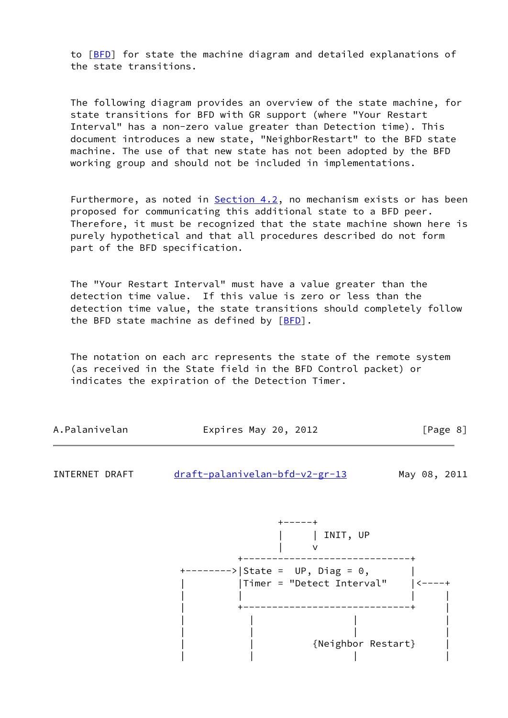to [[BFD\]](#page-13-6) for state the machine diagram and detailed explanations of the state transitions.

 The following diagram provides an overview of the state machine, for state transitions for BFD with GR support (where "Your Restart Interval" has a non-zero value greater than Detection time). This document introduces a new state, "NeighborRestart" to the BFD state machine. The use of that new state has not been adopted by the BFD working group and should not be included in implementations.

Furthermore, as noted in [Section 4.2](#page-6-1), no mechanism exists or has been proposed for communicating this additional state to a BFD peer. Therefore, it must be recognized that the state machine shown here is purely hypothetical and that all procedures described do not form part of the BFD specification.

 The "Your Restart Interval" must have a value greater than the detection time value. If this value is zero or less than the detection time value, the state transitions should completely follow the BFD state machine as defined by  $[BFD]$  $[BFD]$ .

 The notation on each arc represents the state of the remote system (as received in the State field in the BFD Control packet) or indicates the expiration of the Detection Timer.

| A.Palanivelan | Expires May 20, 2012 | [Page 8] |
|---------------|----------------------|----------|
|---------------|----------------------|----------|

INTERNET DRAFT [draft-palanivelan-bfd-v2-gr-13](https://datatracker.ietf.org/doc/pdf/draft-palanivelan-bfd-v2-gr-13) May 08, 2011

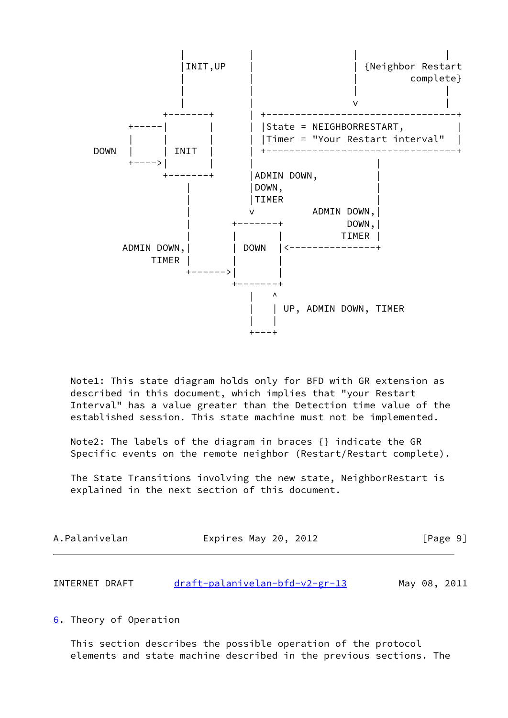

 Note1: This state diagram holds only for BFD with GR extension as described in this document, which implies that "your Restart Interval" has a value greater than the Detection time value of the established session. This state machine must not be implemented.

 Note2: The labels of the diagram in braces {} indicate the GR Specific events on the remote neighbor (Restart/Restart complete).

 The State Transitions involving the new state, NeighborRestart is explained in the next section of this document.

| A.Palanivelan | Expires May 20, 2012 | [Page 9] |
|---------------|----------------------|----------|
|               |                      |          |

<span id="page-9-1"></span>

| INTERNET DRAFT | draft-palanivelan-bfd-v2-gr-13 |  | May 08, 2011 |
|----------------|--------------------------------|--|--------------|
|                |                                |  |              |

<span id="page-9-0"></span>[6](#page-9-0). Theory of Operation

 This section describes the possible operation of the protocol elements and state machine described in the previous sections. The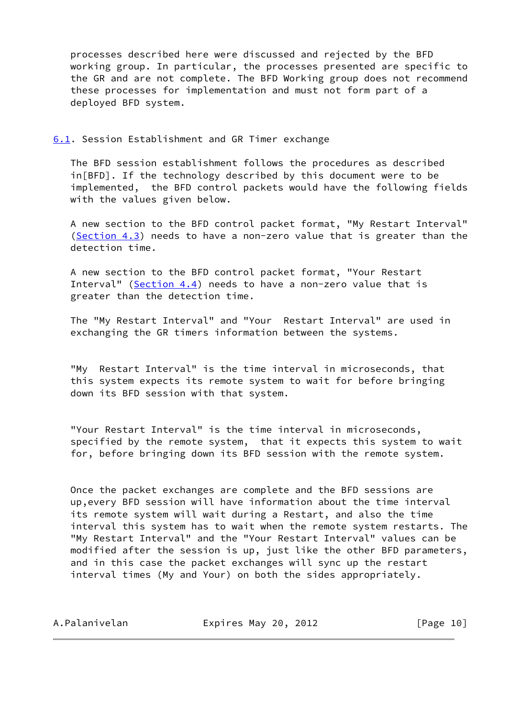processes described here were discussed and rejected by the BFD working group. In particular, the processes presented are specific to the GR and are not complete. The BFD Working group does not recommend these processes for implementation and must not form part of a deployed BFD system.

<span id="page-10-0"></span>[6.1](#page-10-0). Session Establishment and GR Timer exchange

 The BFD session establishment follows the procedures as described in[BFD]. If the technology described by this document were to be implemented, the BFD control packets would have the following fields with the values given below.

 A new section to the BFD control packet format, "My Restart Interval" [\(Section 4.3](#page-7-0)) needs to have a non-zero value that is greater than the detection time.

 A new section to the BFD control packet format, "Your Restart Interval" ([Section 4.4](#page-7-1)) needs to have a non-zero value that is greater than the detection time.

 The "My Restart Interval" and "Your Restart Interval" are used in exchanging the GR timers information between the systems.

 "My Restart Interval" is the time interval in microseconds, that this system expects its remote system to wait for before bringing down its BFD session with that system.

 "Your Restart Interval" is the time interval in microseconds, specified by the remote system, that it expects this system to wait for, before bringing down its BFD session with the remote system.

 Once the packet exchanges are complete and the BFD sessions are up,every BFD session will have information about the time interval its remote system will wait during a Restart, and also the time interval this system has to wait when the remote system restarts. The "My Restart Interval" and the "Your Restart Interval" values can be modified after the session is up, just like the other BFD parameters, and in this case the packet exchanges will sync up the restart interval times (My and Your) on both the sides appropriately.

| A.Palanivelan | Expires May 20, 2012 | [Page 10] |
|---------------|----------------------|-----------|
|---------------|----------------------|-----------|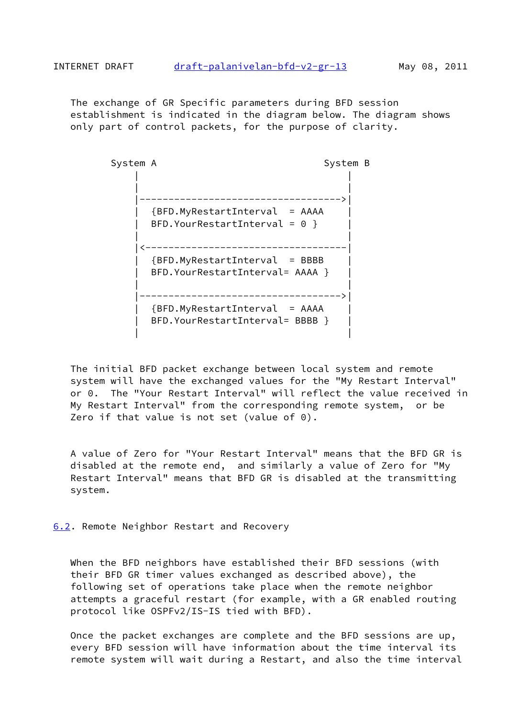<span id="page-11-1"></span> The exchange of GR Specific parameters during BFD session establishment is indicated in the diagram below. The diagram shows only part of control packets, for the purpose of clarity.



 The initial BFD packet exchange between local system and remote system will have the exchanged values for the "My Restart Interval" or 0. The "Your Restart Interval" will reflect the value received in My Restart Interval" from the corresponding remote system, or be Zero if that value is not set (value of 0).

 A value of Zero for "Your Restart Interval" means that the BFD GR is disabled at the remote end, and similarly a value of Zero for "My Restart Interval" means that BFD GR is disabled at the transmitting system.

<span id="page-11-0"></span>[6.2](#page-11-0). Remote Neighbor Restart and Recovery

 When the BFD neighbors have established their BFD sessions (with their BFD GR timer values exchanged as described above), the following set of operations take place when the remote neighbor attempts a graceful restart (for example, with a GR enabled routing protocol like OSPFv2/IS-IS tied with BFD).

 Once the packet exchanges are complete and the BFD sessions are up, every BFD session will have information about the time interval its remote system will wait during a Restart, and also the time interval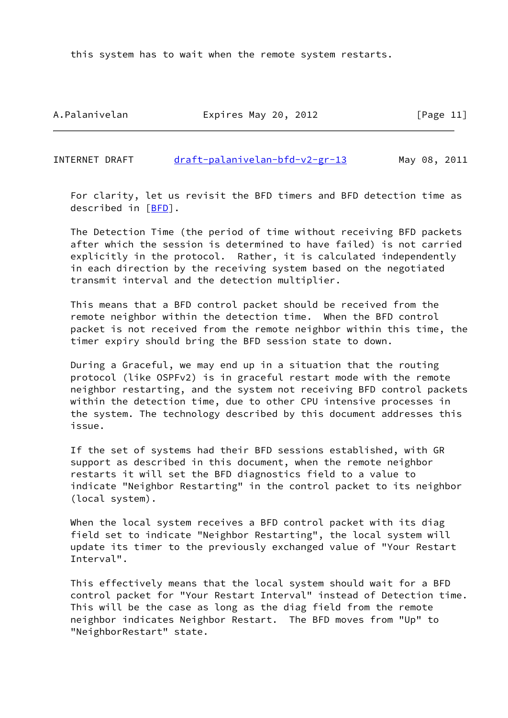this system has to wait when the remote system restarts.

A.Palanivelan Expires May 20, 2012 [Page 11]

<span id="page-12-0"></span>INTERNET DRAFT [draft-palanivelan-bfd-v2-gr-13](https://datatracker.ietf.org/doc/pdf/draft-palanivelan-bfd-v2-gr-13) May 08, 2011

 For clarity, let us revisit the BFD timers and BFD detection time as described in [\[BFD](#page-13-6)].

 The Detection Time (the period of time without receiving BFD packets after which the session is determined to have failed) is not carried explicitly in the protocol. Rather, it is calculated independently in each direction by the receiving system based on the negotiated transmit interval and the detection multiplier.

 This means that a BFD control packet should be received from the remote neighbor within the detection time. When the BFD control packet is not received from the remote neighbor within this time, the timer expiry should bring the BFD session state to down.

 During a Graceful, we may end up in a situation that the routing protocol (like OSPFv2) is in graceful restart mode with the remote neighbor restarting, and the system not receiving BFD control packets within the detection time, due to other CPU intensive processes in the system. The technology described by this document addresses this issue.

 If the set of systems had their BFD sessions established, with GR support as described in this document, when the remote neighbor restarts it will set the BFD diagnostics field to a value to indicate "Neighbor Restarting" in the control packet to its neighbor (local system).

 When the local system receives a BFD control packet with its diag field set to indicate "Neighbor Restarting", the local system will update its timer to the previously exchanged value of "Your Restart Interval".

 This effectively means that the local system should wait for a BFD control packet for "Your Restart Interval" instead of Detection time. This will be the case as long as the diag field from the remote neighbor indicates Neighbor Restart. The BFD moves from "Up" to "NeighborRestart" state.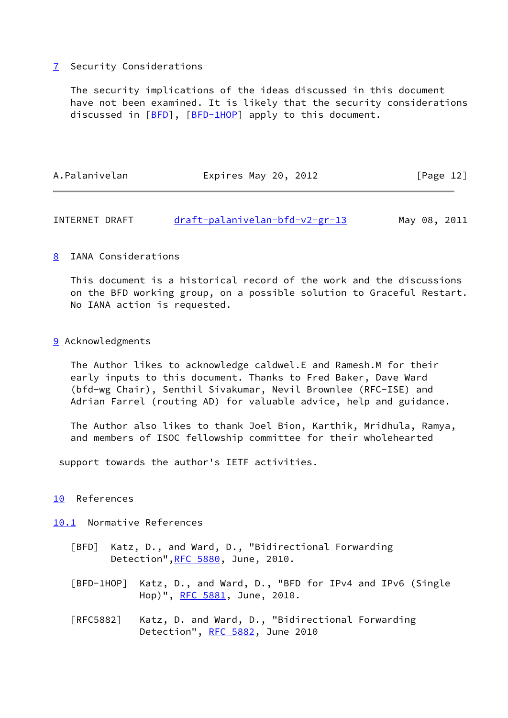# <span id="page-13-0"></span>[7](#page-13-0) Security Considerations

 The security implications of the ideas discussed in this document have not been examined. It is likely that the security considerations discussed in [\[BFD](#page-13-6)], [\[BFD-1HOP](#page-13-7)] apply to this document.

| A.Palanivelan | Expires May 20, 2012 | [Page 12] |
|---------------|----------------------|-----------|
|               |                      |           |

<span id="page-13-2"></span>INTERNET DRAFT [draft-palanivelan-bfd-v2-gr-13](https://datatracker.ietf.org/doc/pdf/draft-palanivelan-bfd-v2-gr-13) May 08, 2011

## <span id="page-13-1"></span>[8](#page-13-1) IANA Considerations

 This document is a historical record of the work and the discussions on the BFD working group, on a possible solution to Graceful Restart. No IANA action is requested.

### <span id="page-13-3"></span>[9](#page-13-3) Acknowledgments

 The Author likes to acknowledge caldwel.E and Ramesh.M for their early inputs to this document. Thanks to Fred Baker, Dave Ward (bfd-wg Chair), Senthil Sivakumar, Nevil Brownlee (RFC-ISE) and Adrian Farrel (routing AD) for valuable advice, help and guidance.

 The Author also likes to thank Joel Bion, Karthik, Mridhula, Ramya, and members of ISOC fellowship committee for their wholehearted

support towards the author's IETF activities.

### <span id="page-13-4"></span>[10](#page-13-4) References

<span id="page-13-5"></span>[10.1](#page-13-5) Normative References

- <span id="page-13-6"></span> [BFD] Katz, D., and Ward, D., "Bidirectional Forwarding Detection"[,RFC 5880](https://datatracker.ietf.org/doc/pdf/rfc5880), June, 2010.
- <span id="page-13-7"></span> [BFD-1HOP] Katz, D., and Ward, D., "BFD for IPv4 and IPv6 (Single Hop)", [RFC 5881,](https://datatracker.ietf.org/doc/pdf/rfc5881) June, 2010.
- [RFC5882] Katz, D. and Ward, D., "Bidirectional Forwarding Detection", [RFC 5882](https://datatracker.ietf.org/doc/pdf/rfc5882), June 2010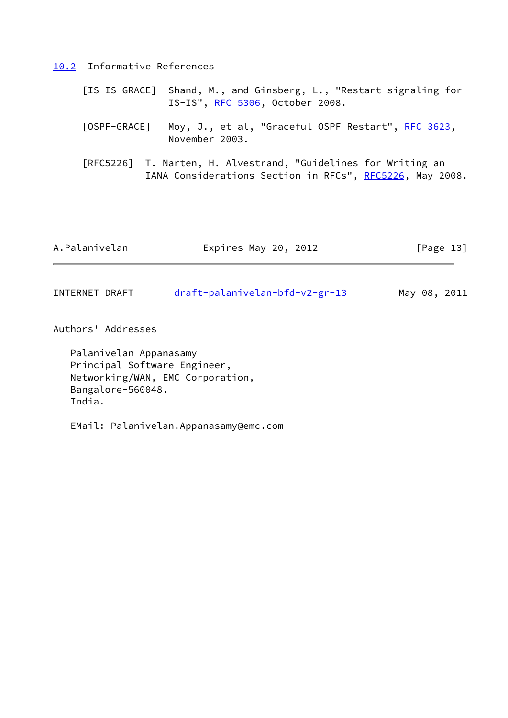<span id="page-14-0"></span>[10.2](#page-14-0) Informative References

- <span id="page-14-3"></span> [IS-IS-GRACE] Shand, M., and Ginsberg, L., "Restart signaling for IS-IS", [RFC 5306](https://datatracker.ietf.org/doc/pdf/rfc5306), October 2008.
- <span id="page-14-2"></span>[OSPF-GRACE] Moy, J., et al, "Graceful OSPF Restart", [RFC 3623](https://datatracker.ietf.org/doc/pdf/rfc3623), November 2003.
- [RFC5226] T. Narten, H. Alvestrand, "Guidelines for Writing an IANA Considerations Section in RFCs", [RFC5226](https://datatracker.ietf.org/doc/pdf/rfc5226), May 2008.

| A.Palanivelan | Expires May 20, 2012 | [Page $13$ ] |
|---------------|----------------------|--------------|
|               |                      |              |

<span id="page-14-1"></span>INTERNET DRAFT [draft-palanivelan-bfd-v2-gr-13](https://datatracker.ietf.org/doc/pdf/draft-palanivelan-bfd-v2-gr-13) May 08, 2011

Authors' Addresses

 Palanivelan Appanasamy Principal Software Engineer, Networking/WAN, EMC Corporation, Bangalore-560048. India.

EMail: Palanivelan.Appanasamy@emc.com